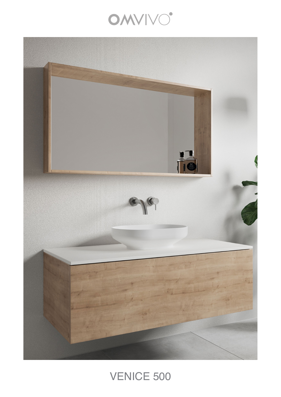# OWANO.



## VENICE 500